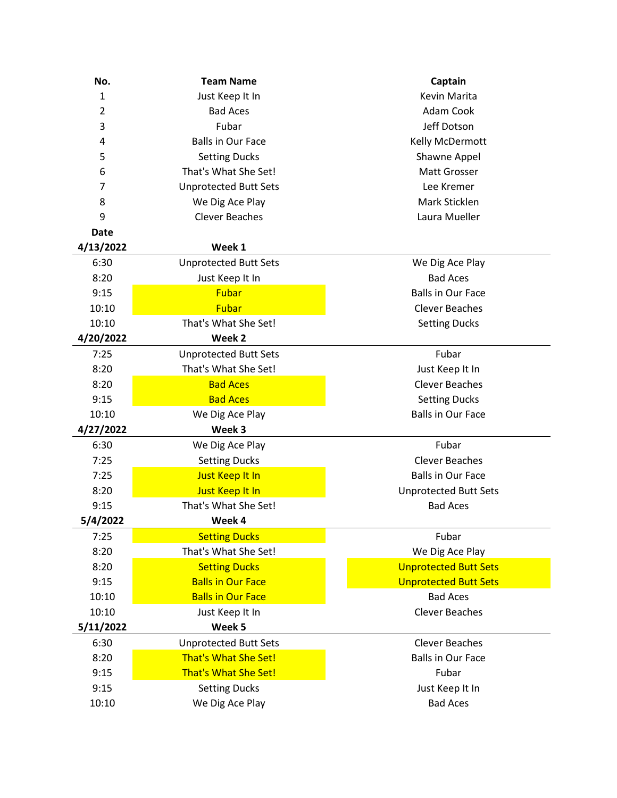| No.            | <b>Team Name</b>             | Captain                      |
|----------------|------------------------------|------------------------------|
| 1              | Just Keep It In              | Kevin Marita                 |
| $\overline{2}$ | <b>Bad Aces</b>              | Adam Cook                    |
| 3              | Fubar                        | Jeff Dotson                  |
| 4              | <b>Balls in Our Face</b>     | Kelly McDermott              |
| 5              | <b>Setting Ducks</b>         | Shawne Appel                 |
| 6              | That's What She Set!         | Matt Grosser                 |
| 7              | <b>Unprotected Butt Sets</b> | Lee Kremer                   |
| 8              | We Dig Ace Play              | Mark Sticklen                |
| 9              | <b>Clever Beaches</b>        | Laura Mueller                |
| <b>Date</b>    |                              |                              |
| 4/13/2022      | Week 1                       |                              |
| 6:30           | <b>Unprotected Butt Sets</b> | We Dig Ace Play              |
| 8:20           | Just Keep It In              | <b>Bad Aces</b>              |
| 9:15           | <b>Fubar</b>                 | <b>Balls in Our Face</b>     |
| 10:10          | Fubar                        | <b>Clever Beaches</b>        |
| 10:10          | That's What She Set!         | <b>Setting Ducks</b>         |
| 4/20/2022      | Week 2                       |                              |
| 7:25           | <b>Unprotected Butt Sets</b> | Fubar                        |
| 8:20           | That's What She Set!         | Just Keep It In              |
| 8:20           | <b>Bad Aces</b>              | <b>Clever Beaches</b>        |
| 9:15           | <b>Bad Aces</b>              | <b>Setting Ducks</b>         |
| 10:10          | We Dig Ace Play              | <b>Balls in Our Face</b>     |
| 4/27/2022      | Week 3                       |                              |
| 6:30           | We Dig Ace Play              | Fubar                        |
| 7:25           | <b>Setting Ducks</b>         | <b>Clever Beaches</b>        |
| 7:25           | Just Keep It In              | <b>Balls in Our Face</b>     |
| 8:20           | Just Keep It In              | <b>Unprotected Butt Sets</b> |
| 9:15           | That's What She Set!         | <b>Bad Aces</b>              |
| 5/4/2022       | Week 4                       |                              |
| 7:25           | <b>Setting Ducks</b>         | Fubar                        |
| 8:20           | That's What She Set!         | We Dig Ace Play              |
| 8:20           | <b>Setting Ducks</b>         | <b>Unprotected Butt Sets</b> |
| 9:15           | <b>Balls in Our Face</b>     | <b>Unprotected Butt Sets</b> |
| 10:10          | <b>Balls in Our Face</b>     | <b>Bad Aces</b>              |
| 10:10          | Just Keep It In              | <b>Clever Beaches</b>        |
| 5/11/2022      | Week 5                       |                              |
| 6:30           | <b>Unprotected Butt Sets</b> | <b>Clever Beaches</b>        |
| 8:20           | <b>That's What She Set!</b>  | <b>Balls in Our Face</b>     |
| 9:15           | <b>That's What She Set!</b>  | Fubar                        |
| 9:15           | <b>Setting Ducks</b>         | Just Keep It In              |
| 10:10          | We Dig Ace Play              | <b>Bad Aces</b>              |